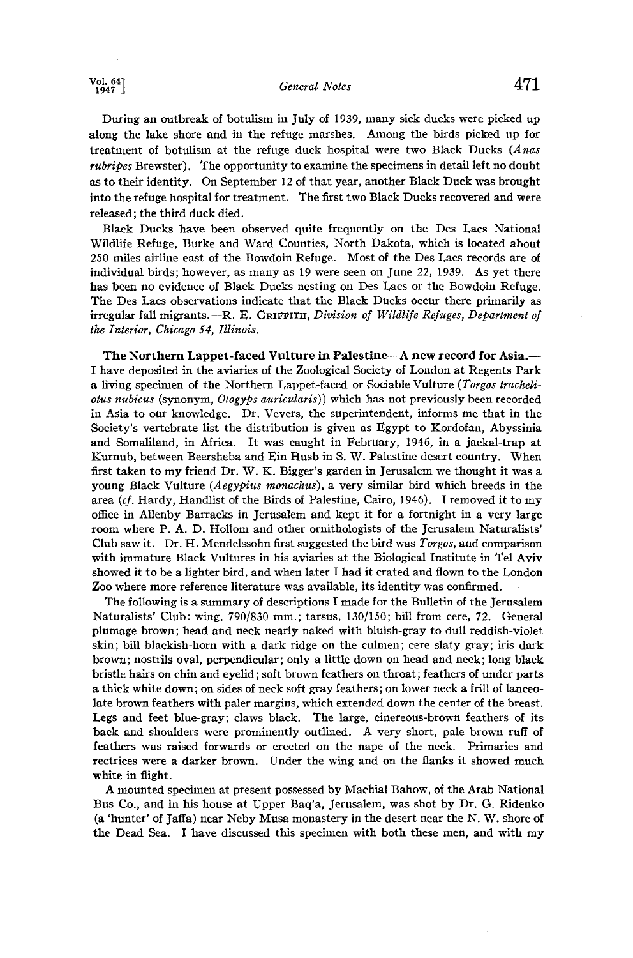**During an outbreak of botulism in July of 1939, many sick ducks were picked up along the lake shore and in the refuge marshes. Among the birds picked up for treatment of botulism at the refuge duck hospital were two Black Ducks (Anas rubripes Brewster). The opportunity to examine the specimens in detail left no doubt as to their identity. On September 12 of that year, another Black Duck was brought into the refuge hospital for treatment. The first two Black Ducks recovered and were released; the third duck died.** 

**Black Ducks have been observed quite frequently on the Des Lacs National Wildlife Refuge, Burke and Ward Counties, North Dakota, which is located about 250 miles airline east of the Bowdoin Refuge. Most of the Des Laes records are of individual birds; however, as many as 19 were seen on June 22, 1939. As yet there has been no evidence of Black Ducks nesting on Des Lacs or the Bowdoin Refuge. The Des Lacs observations indicate that the Black Ducks occur there primarily as irregular fall migrants.—R. E. GRIFFITH, Division of Wildlife Refuges, Department of the Interior, Chicago 54, Illinois.** 

The Northern Lappet-faced Vulture in Palestine--A new record for Asia.-**I have deposited in the aviaries of the Zoological Society of London at Regents Park a living specimen of the Northern Lappet-faced or Sociable Vulture (Torgos tracheliotus nubicus (synonym, Otogyps auricularis)) which has not previously been recorded in Asia to our knowledge. Dr. Vevers, the superintendent, informs me that in the Society's vertebrate list the distribution is given as Egypt to Kordofan, Abyssinia and Somaliland, in Africa. It was caught in February, 1946, in a jackal-trap at Kurnub, between Beersheba and Ein Husb in S. W. Palestine desert country. When first taken to my friend Dr. W. K. Bigger's garden in Jerusalem we thought it was a young Black Vulture (Aegypius monachus), a very similar bird which breeds in the area (cf. Hardy, Handlist of the Birds of Palestine, Cairo, 1946). I removed it to my office in Allenby Barracks in Jerusalem and kept it for a fortnight in a very large room where P. A.D. Hotlom and other ornithologists of the Jerusalem Naturalists' Club saw it. Dr. H. Mendelssohn first suggested the bird was Torgos, and comparison with immature Black Vultures in his aviaries at the Biological Institute in Tel Aviv showed it to be a lighter bird, and when later I had it erated and flown to the London Zoo where more reference literature was available, its identity was confirmed.** 

**The following is a summary of descriptions Imade for the Bulletin of the Jerusalem Naturalists' Club: wing, 790/830 mm.; tarsus, 130/150; bill from cere, 72. General plumage brown; head and neck nearly naked with bluish-gray to dull reddish-violet skin; bill blackish-horu with a dark ridge on the culmen; cere slaty gray; iris dark brown; nostrils oval, perpendicular; only a little down on head and neck; long black bristle hairs on chin and eyelid; soft brown feathers on throat; feathers of under parts a thick white down; on sides of neck soft gray feathers; on lower neck a frill of lanceolate brown feathers with paler margins, which extended down the center of the breast. Legs and feet blue-gray; daws black. The large, cinereous-brown feathers of its back and shoulders were prominently outlined. A very short, pale brown ruff of feathers was raised forwards or erected on the nape of the neck. Primaries and teetrices were a darker brown. Under the wing and on the flanks it showed much white in flight.** 

**A mounted specimen at present possessed by Machlal Bahow, of the Arab National Bus Co., and in his house at Upper Baq'a, Jerusalem, was shot by Dr. G. Ridenko (a 'hunter' of Jaffa) near Neby Musa monastery in the desert near the N. W. shore of the Dead Sea. I have discussed this specimen with both these men, and with my**